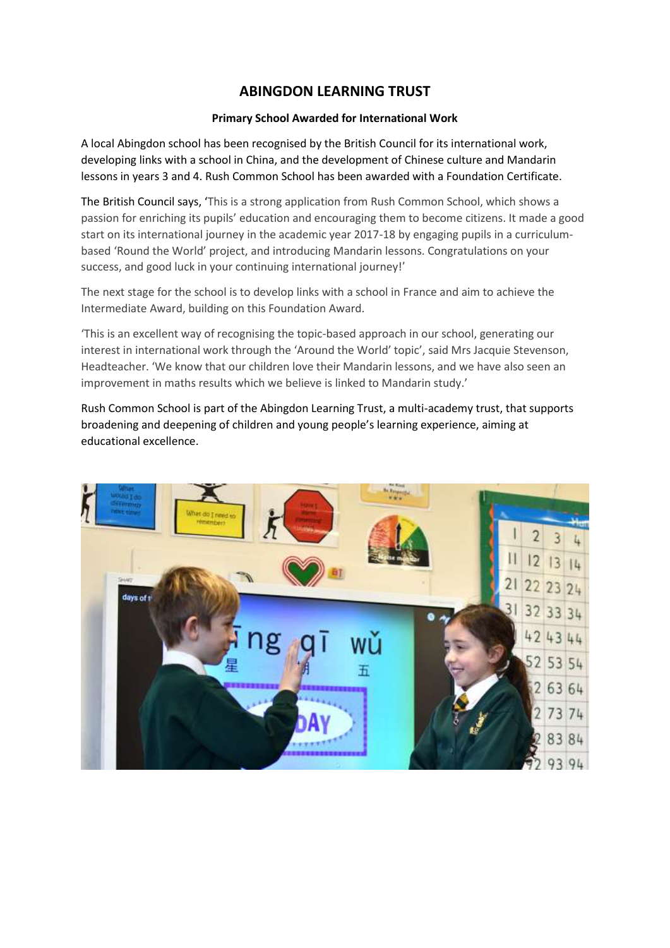## **ABINGDON LEARNING TRUST**

## **Primary School Awarded for International Work**

A local Abingdon school has been recognised by the British Council for its international work, developing links with a school in China, and the development of Chinese culture and Mandarin lessons in years 3 and 4. Rush Common School has been awarded with a Foundation Certificate.

The British Council says, 'This is a strong application from Rush Common School, which shows a passion for enriching its pupils' education and encouraging them to become citizens. It made a good start on its international journey in the academic year 2017-18 by engaging pupils in a curriculumbased 'Round the World' project, and introducing Mandarin lessons. Congratulations on your success, and good luck in your continuing international journey!'

The next stage for the school is to develop links with a school in France and aim to achieve the Intermediate Award, building on this Foundation Award.

'This is an excellent way of recognising the topic-based approach in our school, generating our interest in international work through the 'Around the World' topic', said Mrs Jacquie Stevenson, Headteacher. 'We know that our children love their Mandarin lessons, and we have also seen an improvement in maths results which we believe is linked to Mandarin study.'

Rush Common School is part of the Abingdon Learning Trust, a multi-academy trust, that supports broadening and deepening of children and young people's learning experience, aiming at educational excellence.